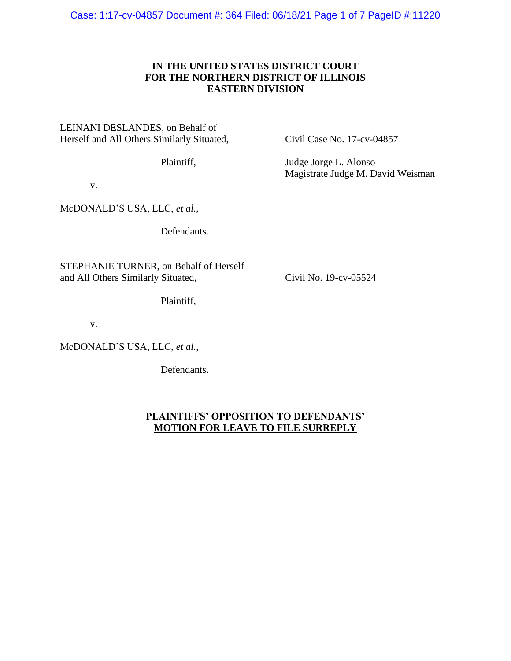### Case: 1:17-cv-04857 Document #: 364 Filed: 06/18/21 Page 1 of 7 PageID #:11220

## **IN THE UNITED STATES DISTRICT COURT FOR THE NORTHERN DISTRICT OF ILLINOIS EASTERN DIVISION**

## LEINANI DESLANDES, on Behalf of Herself and All Others Similarly Situated,

Plaintiff,

v.

McDONALD'S USA, LLC, *et al.*,

Defendants.

STEPHANIE TURNER, on Behalf of Herself and All Others Similarly Situated,

Plaintiff,

v.

McDONALD'S USA, LLC, *et al.*,

Defendants.

Civil Case No. 17-cv-04857

Judge Jorge L. Alonso Magistrate Judge M. David Weisman

Civil No. 19-cv-05524

# **PLAINTIFFS' OPPOSITION TO DEFENDANTS' MOTION FOR LEAVE TO FILE SURREPLY**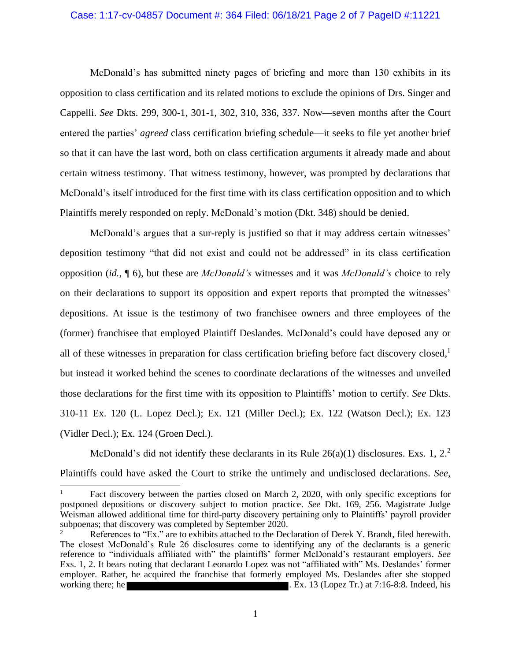#### Case: 1:17-cv-04857 Document #: 364 Filed: 06/18/21 Page 2 of 7 PageID #:11221

McDonald's has submitted ninety pages of briefing and more than 130 exhibits in its opposition to class certification and its related motions to exclude the opinions of Drs. Singer and Cappelli. *See* Dkts. 299, 300-1, 301-1, 302, 310, 336, 337. Now—seven months after the Court entered the parties' *agreed* class certification briefing schedule—it seeks to file yet another brief so that it can have the last word, both on class certification arguments it already made and about certain witness testimony. That witness testimony, however, was prompted by declarations that McDonald's itself introduced for the first time with its class certification opposition and to which Plaintiffs merely responded on reply. McDonald's motion (Dkt. 348) should be denied.

McDonald's argues that a sur-reply is justified so that it may address certain witnesses' deposition testimony "that did not exist and could not be addressed" in its class certification opposition (*id.*, ¶ 6), but these are *McDonald's* witnesses and it was *McDonald's* choice to rely on their declarations to support its opposition and expert reports that prompted the witnesses' depositions. At issue is the testimony of two franchisee owners and three employees of the (former) franchisee that employed Plaintiff Deslandes. McDonald's could have deposed any or all of these witnesses in preparation for class certification briefing before fact discovery closed, 1 but instead it worked behind the scenes to coordinate declarations of the witnesses and unveiled those declarations for the first time with its opposition to Plaintiffs' motion to certify. *See* Dkts. 310-11 Ex. 120 (L. Lopez Decl.); Ex. 121 (Miller Decl.); Ex. 122 (Watson Decl.); Ex. 123 (Vidler Decl.); Ex. 124 (Groen Decl.).

McDonald's did not identify these declarants in its Rule  $26(a)(1)$  disclosures. Exs. 1, 2.<sup>2</sup> Plaintiffs could have asked the Court to strike the untimely and undisclosed declarations. *See*,

Fact discovery between the parties closed on March 2, 2020, with only specific exceptions for postponed depositions or discovery subject to motion practice. *See* Dkt. 169, 256. Magistrate Judge Weisman allowed additional time for third-party discovery pertaining only to Plaintiffs' payroll provider subpoenas; that discovery was completed by September 2020.

References to "Ex." are to exhibits attached to the Declaration of Derek Y. Brandt, filed herewith. The closest McDonald's Rule 26 disclosures come to identifying any of the declarants is a generic reference to "individuals affiliated with" the plaintiffs' former McDonald's restaurant employers. *See* Exs. 1, 2. It bears noting that declarant Leonardo Lopez was not "affiliated with" Ms. Deslandes' former employer. Rather, he acquired the franchise that formerly employed Ms. Deslandes after she stopped working there; he **.** Ex. 13 (Lopez Tr.) at 7:16-8:8. Indeed, his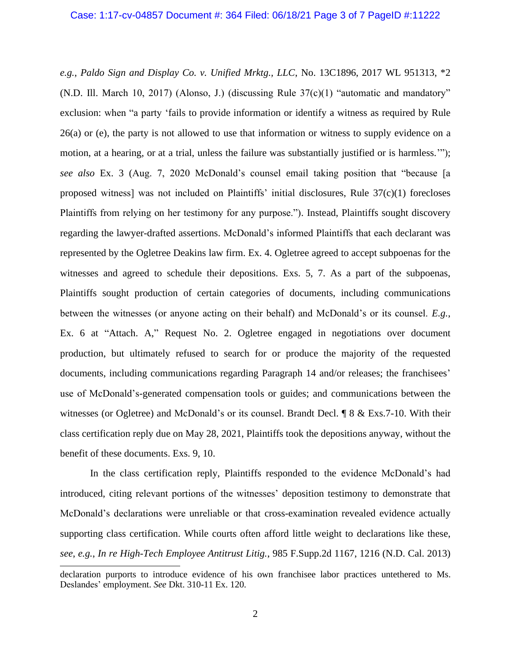*e.g.*, *Paldo Sign and Display Co. v. Unified Mrktg., LLC*, No. 13C1896, 2017 WL 951313, \*2 (N.D. Ill. March 10, 2017) (Alonso, J.) (discussing Rule  $37(c)(1)$  "automatic and mandatory" exclusion: when "a party 'fails to provide information or identify a witness as required by Rule 26(a) or (e), the party is not allowed to use that information or witness to supply evidence on a motion, at a hearing, or at a trial, unless the failure was substantially justified or is harmless.'"); *see also* Ex. 3 (Aug. 7, 2020 McDonald's counsel email taking position that "because [a proposed witness] was not included on Plaintiffs' initial disclosures, Rule 37(c)(1) forecloses Plaintiffs from relying on her testimony for any purpose."). Instead, Plaintiffs sought discovery regarding the lawyer-drafted assertions. McDonald's informed Plaintiffs that each declarant was represented by the Ogletree Deakins law firm. Ex. 4. Ogletree agreed to accept subpoenas for the witnesses and agreed to schedule their depositions. Exs. 5, 7. As a part of the subpoenas, Plaintiffs sought production of certain categories of documents, including communications between the witnesses (or anyone acting on their behalf) and McDonald's or its counsel. *E.g.*, Ex. 6 at "Attach. A," Request No. 2. Ogletree engaged in negotiations over document production, but ultimately refused to search for or produce the majority of the requested documents, including communications regarding Paragraph 14 and/or releases; the franchisees' use of McDonald's-generated compensation tools or guides; and communications between the witnesses (or Ogletree) and McDonald's or its counsel. Brandt Decl. ¶ 8 & Exs.7-10. With their class certification reply due on May 28, 2021, Plaintiffs took the depositions anyway, without the benefit of these documents. Exs. 9, 10.

In the class certification reply, Plaintiffs responded to the evidence McDonald's had introduced, citing relevant portions of the witnesses' deposition testimony to demonstrate that McDonald's declarations were unreliable or that cross-examination revealed evidence actually supporting class certification. While courts often afford little weight to declarations like these, *see*, *e.g.*, *In re High-Tech Employee Antitrust Litig.*, 985 F.Supp.2d 1167, 1216 (N.D. Cal. 2013)

declaration purports to introduce evidence of his own franchisee labor practices untethered to Ms. Deslandes' employment. *See* Dkt. 310-11 Ex. 120.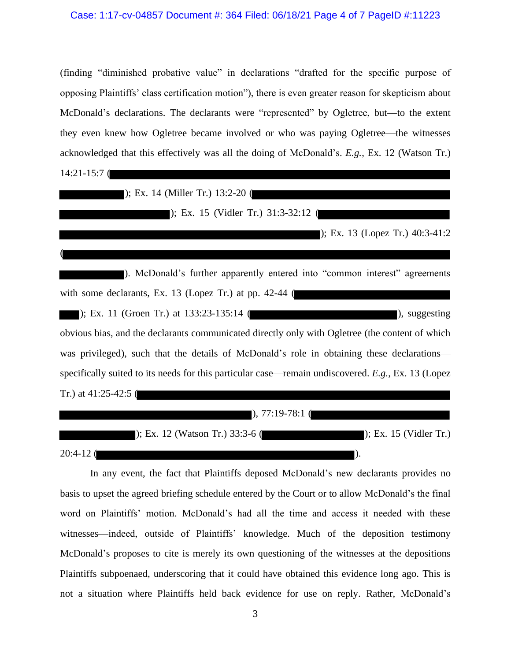#### Case: 1:17-cv-04857 Document #: 364 Filed: 06/18/21 Page 4 of 7 PageID #:11223

(finding "diminished probative value" in declarations "drafted for the specific purpose of opposing Plaintiffs' class certification motion"), there is even greater reason for skepticism about McDonald's declarations. The declarants were "represented" by Ogletree, but—to the extent they even knew how Ogletree became involved or who was paying Ogletree—the witnesses acknowledged that this effectively was all the doing of McDonald's. *E.g.*, Ex. 12 (Watson Tr.)

14:21-15:7 (

(

); Ex. 14 (Miller Tr.) 13:2-20 (

); Ex. 15 (Vidler Tr.) 31:3-32:12 (

); Ex. 13 (Lopez Tr.) 40:3-41:2

). McDonald's further apparently entered into "common interest" agreements with some declarants, Ex. 13 (Lopez Tr.) at pp. 42-44 ( ); Ex. 11 (Groen Tr.) at  $133:23-135:14$  ( ), suggesting obvious bias, and the declarants communicated directly only with Ogletree (the content of which was privileged), such that the details of McDonald's role in obtaining these declarations specifically suited to its needs for this particular case—remain undiscovered. *E.g.*, Ex. 13 (Lopez Tr.) at 41:25-42:5 ( ), 77:19-78:1 (

|             | $\Box$ ); Ex. 12 (Watson Tr.) 33:3-6 ( $\Box$ | $\triangleright$ ; Ex. 15 (Vidler Tr.) |
|-------------|-----------------------------------------------|----------------------------------------|
| $20:4-12$ ( |                                               |                                        |

In any event, the fact that Plaintiffs deposed McDonald's new declarants provides no basis to upset the agreed briefing schedule entered by the Court or to allow McDonald's the final word on Plaintiffs' motion. McDonald's had all the time and access it needed with these witnesses—indeed, outside of Plaintiffs' knowledge. Much of the deposition testimony McDonald's proposes to cite is merely its own questioning of the witnesses at the depositions Plaintiffs subpoenaed, underscoring that it could have obtained this evidence long ago. This is not a situation where Plaintiffs held back evidence for use on reply. Rather, McDonald's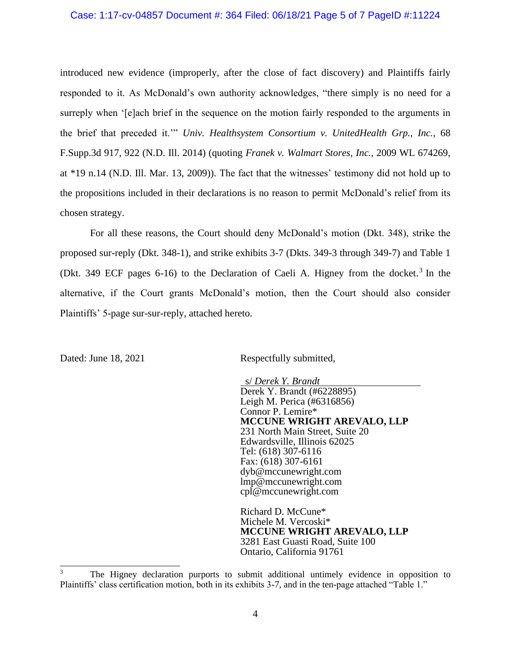#### Case: 1:17-cv-04857 Document #: 364 Filed: 06/18/21 Page 5 of 7 PageID #:11224

introduced new evidence (improperly, after the close of fact discovery) and Plaintiffs fairly responded to it. As McDonald's own authority acknowledges, "there simply is no need for a surreply when '[e]ach brief in the sequence on the motion fairly responded to the arguments in the brief that preceded it.'" *Univ. Healthsystem Consortium v. UnitedHealth Grp., Inc.*, 68 F.Supp.3d 917, 922 (N.D. Ill. 2014) (quoting *Franek v. Walmart Stores, Inc.*, 2009 WL 674269, at \*19 n.14 (N.D. Ill. Mar. 13, 2009)). The fact that the witnesses' testimony did not hold up to the propositions included in their declarations is no reason to permit McDonald's relief from its chosen strategy.

For all these reasons, the Court should deny McDonald's motion (Dkt. 348), strike the proposed sur-reply (Dkt. 348-1), and strike exhibits 3-7 (Dkts. 349-3 through 349-7) and Table 1 (Dkt. 349 ECF pages 6-16) to the Declaration of Caeli A. Higney from the docket.<sup>3</sup> In the alternative, if the Court grants McDonald's motion, then the Court should also consider Plaintiffs' 5-page sur-sur-reply, attached hereto.

Dated: June 18, 2021 Respectfully submitted,

 s/ *Derek Y. Brandt* Derek Y. Brandt (#6228895) Leigh M. Perica (#6316856) Connor P. Lemire\* **MCCUNE WRIGHT AREVALO, LLP** 231 North Main Street, Suite 20 Edwardsville, Illinois 62025 Tel: (618) 307-6116 Fax: (618) 307-6161 dyb@mccunewright.com lmp@mccunewright.com cpl@mccunewright.com

Richard D. McCune\* Michele M. Vercoski\* **MCCUNE WRIGHT AREVALO, LLP** 3281 East Guasti Road, Suite 100 Ontario, California 91761

<sup>3</sup> The Higney declaration purports to submit additional untimely evidence in opposition to Plaintiffs' class certification motion, both in its exhibits 3-7, and in the ten-page attached "Table 1."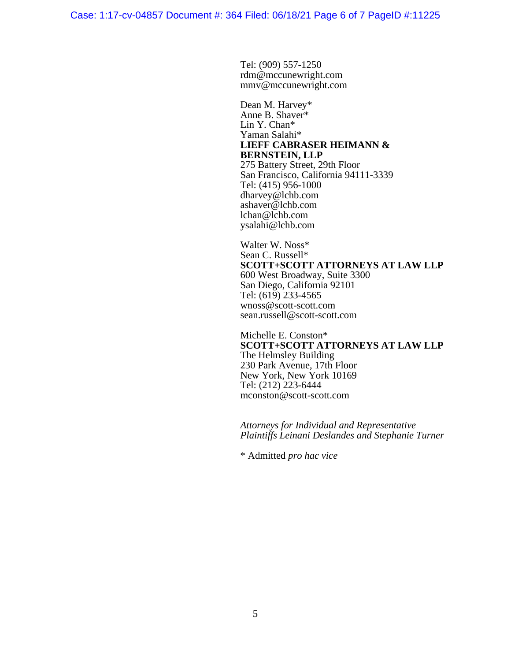Tel: (909) 557-1250 rdm@mccunewright.com mmv@mccunewright.com

Dean M. Harvey\* Anne B. Shaver\* Lin Y. Chan\* Yaman Salahi\* **LIEFF CABRASER HEIMANN & BERNSTEIN, LLP** 275 Battery Street, 29th Floor San Francisco, California 94111-3339 Tel: (415) 956-1000 dharvey@lchb.com ashaver@lchb.com lchan@lchb.com ysalahi@lchb.com

Walter W. Noss\* Sean C. Russell\* **SCOTT+SCOTT ATTORNEYS AT LAW LLP** 600 West Broadway, Suite 3300 San Diego, California 92101 Tel: (619) 233-4565 wnoss@scott-scott.com sean.russell@scott-scott.com

Michelle E. Conston\* **SCOTT+SCOTT ATTORNEYS AT LAW LLP** The Helmsley Building 230 Park Avenue, 17th Floor New York, New York 10169 Tel: (212) 223-6444 mconston@scott-scott.com

*Attorneys for Individual and Representative Plaintiffs Leinani Deslandes and Stephanie Turner*

\* Admitted *pro hac vice*